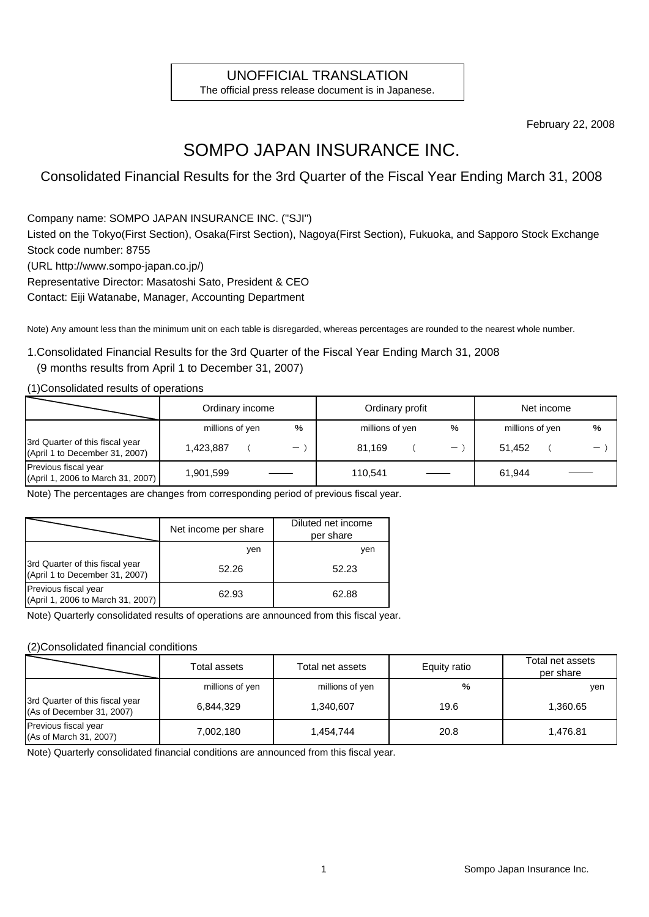### UNOFFICIAL TRANSLATION

The official press release document is in Japanese.

February 22, 2008

# SOMPO JAPAN INSURANCE INC.

Consolidated Financial Results for the 3rd Quarter of the Fiscal Year Ending March 31, 2008

Company name: SOMPO JAPAN INSURANCE INC. ("SJI")

Listed on the Tokyo(First Section), Osaka(First Section), Nagoya(First Section), Fukuoka, and Sapporo Stock Exchange Stock code number: 8755

(URL http://www.sompo-japan.co.jp/)

Representative Director: Masatoshi Sato, President & CEO

Contact: Eiji Watanabe, Manager, Accounting Department

Note) Any amount less than the minimum unit on each table is disregarded, whereas percentages are rounded to the nearest whole number.

#### 1.Consolidated Financial Results for the 3rd Quarter of the Fiscal Year Ending March 31, 2008

#### (9 months results from April 1 to December 31, 2007)

(1)Consolidated results of operations

|                                                                   | Ordinary income | Ordinary profit   |                 |  | Net income               |                 |  |                                         |
|-------------------------------------------------------------------|-----------------|-------------------|-----------------|--|--------------------------|-----------------|--|-----------------------------------------|
|                                                                   | millions of yen | %                 | millions of yen |  | %                        | millions of yen |  | %                                       |
| 3rd Quarter of this fiscal year<br>(April 1 to December 31, 2007) | 1.423.887       | $\qquad \qquad -$ | 81.169          |  | $\overline{\phantom{0}}$ | 51.452          |  | $\qquad \qquad \  \  \, -\qquad \qquad$ |
| Previous fiscal year<br>(April 1, 2006 to March 31, 2007)         | 1,901,599       |                   | 110.541         |  |                          | 61,944          |  |                                         |

Note) The percentages are changes from corresponding period of previous fiscal year.

|                                                                   | Net income per share | Diluted net income<br>per share |
|-------------------------------------------------------------------|----------------------|---------------------------------|
|                                                                   | ven                  | ven                             |
| 3rd Quarter of this fiscal year<br>(April 1 to December 31, 2007) | 52.26                | 52.23                           |
| Previous fiscal year<br>(April 1, 2006 to March 31, 2007)         | 62.93                | 62.88                           |

Note) Quarterly consolidated results of operations are announced from this fiscal year.

#### (2)Consolidated financial conditions

|                                                              | Total assets    | Total net assets | Equity ratio | Total net assets<br>per share |
|--------------------------------------------------------------|-----------------|------------------|--------------|-------------------------------|
|                                                              | millions of yen | millions of yen  | %            | yen                           |
| 3rd Quarter of this fiscal year<br>(As of December 31, 2007) | 6,844,329       | 1,340,607        | 19.6         | 1,360.65                      |
| Previous fiscal year<br>(As of March 31, 2007)               | 7.002.180       | 1,454,744        | 20.8         | 1,476.81                      |

Note) Quarterly consolidated financial conditions are announced from this fiscal year.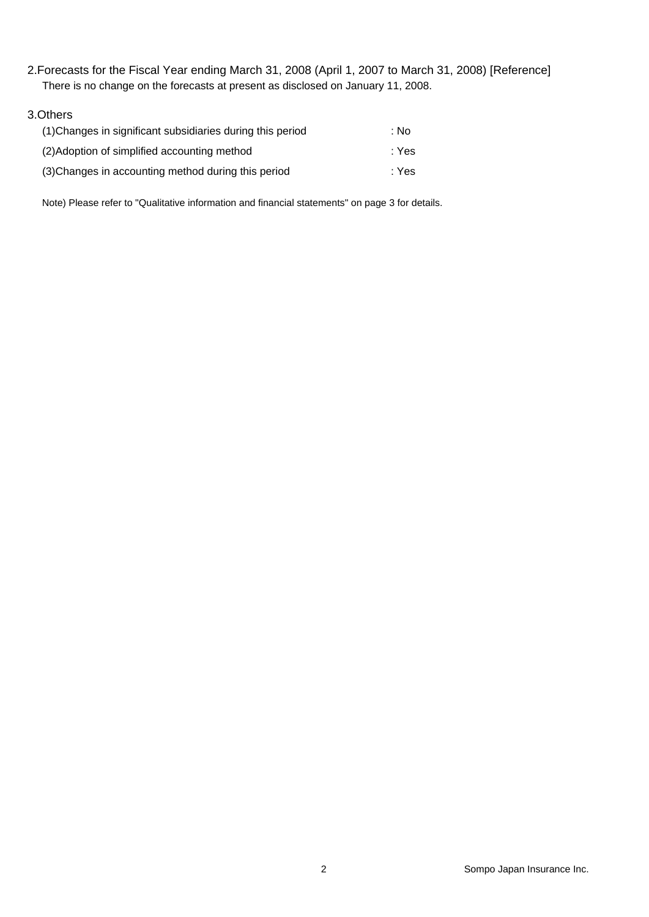2.Forecasts for the Fiscal Year ending March 31, 2008 (April 1, 2007 to March 31, 2008) [Reference] There is no change on the forecasts at present as disclosed on January 11, 2008.

#### 3.Others

| (1) Changes in significant subsidiaries during this period | ∶ No  |
|------------------------------------------------------------|-------|
| (2) Adoption of simplified accounting method               | : Yes |
| (3) Changes in accounting method during this period        | : Yes |

Note) Please refer to "Qualitative information and financial statements" on page 3 for details.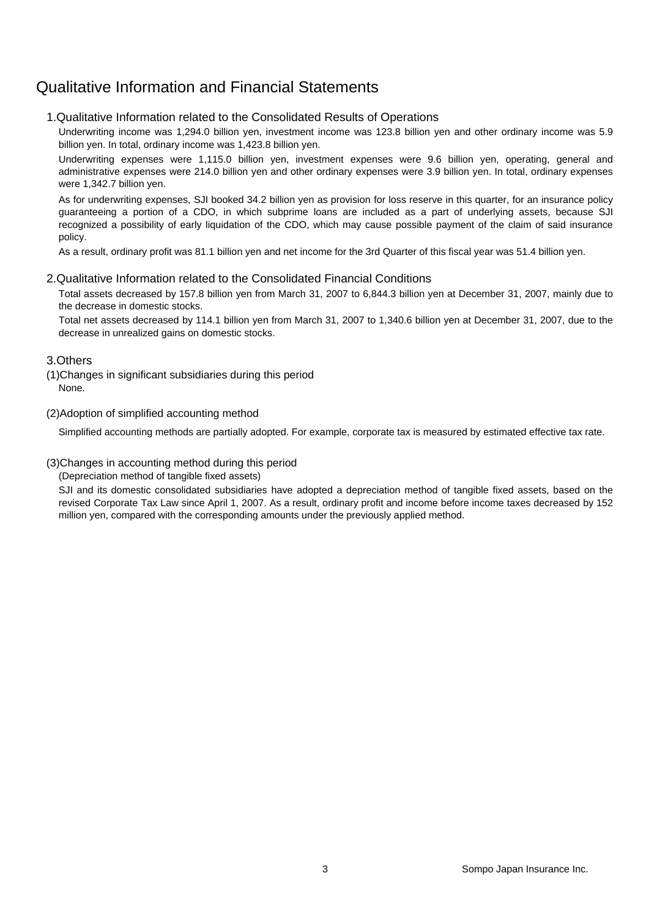### Qualitative Information and Financial Statements

#### 1.Qualitative Information related to the Consolidated Results of Operations

Underwriting income was 1,294.0 billion yen, investment income was 123.8 billion yen and other ordinary income was 5.9 billion yen. In total, ordinary income was 1,423.8 billion yen.

Underwriting expenses were 1,115.0 billion yen, investment expenses were 9.6 billion yen, operating, general and administrative expenses were 214.0 billion yen and other ordinary expenses were 3.9 billion yen. In total, ordinary expenses were 1,342.7 billion yen.

As for underwriting expenses, SJI booked 34.2 billion yen as provision for loss reserve in this quarter, for an insurance policy guaranteeing a portion of a CDO, in which subprime loans are included as a part of underlying assets, because SJI recognized a possibility of early liquidation of the CDO, which may cause possible payment of the claim of said insurance policy.

As a result, ordinary profit was 81.1 billion yen and net income for the 3rd Quarter of this fiscal year was 51.4 billion yen.

#### 2.Qualitative Information related to the Consolidated Financial Conditions

Total assets decreased by 157.8 billion yen from March 31, 2007 to 6,844.3 billion yen at December 31, 2007, mainly due to the decrease in domestic stocks.

Total net assets decreased by 114.1 billion yen from March 31, 2007 to 1,340.6 billion yen at December 31, 2007, due to the decrease in unrealized gains on domestic stocks.

#### 3.Others

(1)Changes in significant subsidiaries during this period None.

(2)Adoption of simplified accounting method

Simplified accounting methods are partially adopted. For example, corporate tax is measured by estimated effective tax rate.

#### (3)Changes in accounting method during this period

(Depreciation method of tangible fixed assets)

SJI and its domestic consolidated subsidiaries have adopted a depreciation method of tangible fixed assets, based on the revised Corporate Tax Law since April 1, 2007. As a result, ordinary profit and income before income taxes decreased by 152 million yen, compared with the corresponding amounts under the previously applied method.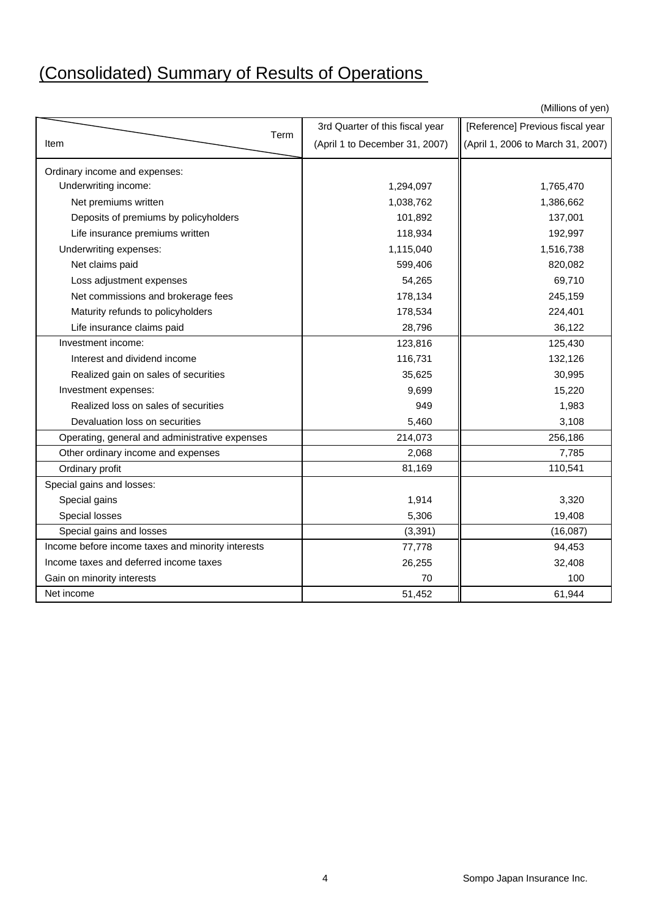# (Consolidated) Summary of Results of Operations

(Millions of yen)

|                                                   | 3rd Quarter of this fiscal year | [Reference] Previous fiscal year  |
|---------------------------------------------------|---------------------------------|-----------------------------------|
| Term<br>Item                                      | (April 1 to December 31, 2007)  | (April 1, 2006 to March 31, 2007) |
| Ordinary income and expenses:                     |                                 |                                   |
| Underwriting income:                              | 1,294,097                       | 1,765,470                         |
| Net premiums written                              | 1,038,762                       | 1,386,662                         |
| Deposits of premiums by policyholders             | 101,892                         | 137,001                           |
| Life insurance premiums written                   | 118,934                         | 192,997                           |
| Underwriting expenses:                            | 1,115,040                       | 1,516,738                         |
| Net claims paid                                   | 599,406                         | 820,082                           |
| Loss adjustment expenses                          | 54,265                          | 69,710                            |
| Net commissions and brokerage fees                | 178,134                         | 245,159                           |
| Maturity refunds to policyholders                 | 178,534                         | 224,401                           |
| Life insurance claims paid                        | 28,796                          | 36,122                            |
| Investment income:                                | 123,816                         | 125,430                           |
| Interest and dividend income                      | 116,731                         | 132,126                           |
| Realized gain on sales of securities              | 35,625                          | 30,995                            |
| Investment expenses:                              | 9,699                           | 15,220                            |
| Realized loss on sales of securities              | 949                             | 1,983                             |
| Devaluation loss on securities                    | 5,460                           | 3,108                             |
| Operating, general and administrative expenses    | 214,073                         | 256,186                           |
| Other ordinary income and expenses                | 2,068                           | 7,785                             |
| Ordinary profit                                   | 81,169                          | 110,541                           |
| Special gains and losses:                         |                                 |                                   |
| Special gains                                     | 1,914                           | 3,320                             |
| Special losses                                    | 5,306                           | 19,408                            |
| Special gains and losses                          | (3, 391)                        | (16,087)                          |
| Income before income taxes and minority interests | 77,778                          | 94,453                            |
| Income taxes and deferred income taxes            | 26,255                          | 32,408                            |
| Gain on minority interests                        | 70                              | 100                               |
| Net income                                        | 51,452                          | 61,944                            |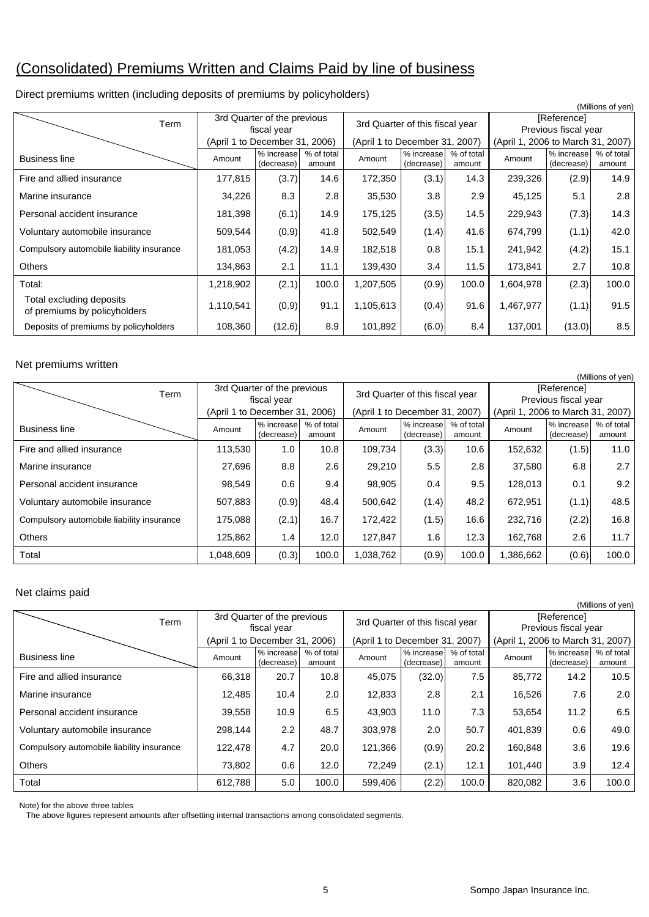# (Consolidated) Premiums Written and Claims Paid by line of business

| (Millions of yen)                                        |                                            |                          |                      |                                 |                          |                      |                                     |                          |                      |  |
|----------------------------------------------------------|--------------------------------------------|--------------------------|----------------------|---------------------------------|--------------------------|----------------------|-------------------------------------|--------------------------|----------------------|--|
| Term                                                     | 3rd Quarter of the previous<br>fiscal year |                          |                      | 3rd Quarter of this fiscal year |                          |                      | [Reference]<br>Previous fiscal year |                          |                      |  |
|                                                          | (April 1 to December 31, 2006)             |                          |                      | (April 1 to December 31, 2007)  |                          |                      | (April 1, 2006 to March 31, 2007)   |                          |                      |  |
| <b>Business line</b>                                     | Amount                                     | % increase<br>(decrease) | % of total<br>amount | Amount                          | % increase<br>(decrease) | % of total<br>amount | Amount                              | % increase<br>(decrease) | % of total<br>amount |  |
| Fire and allied insurance                                | 177,815                                    | (3.7)                    | 14.6                 | 172,350                         | (3.1)                    | 14.3                 | 239,326                             | (2.9)                    | 14.9                 |  |
| Marine insurance                                         | 34,226                                     | 8.3                      | 2.8                  | 35,530                          | 3.8                      | 2.9                  | 45,125                              | 5.1                      | 2.8                  |  |
| Personal accident insurance                              | 181,398                                    | (6.1)                    | 14.9                 | 175,125                         | (3.5)                    | 14.5                 | 229,943                             | (7.3)                    | 14.3                 |  |
| Voluntary automobile insurance                           | 509,544                                    | (0.9)                    | 41.8                 | 502,549                         | (1.4)                    | 41.6                 | 674,799                             | (1.1)                    | 42.0                 |  |
| Compulsory automobile liability insurance                | 181,053                                    | (4.2)                    | 14.9                 | 182,518                         | 0.8                      | 15.1                 | 241,942                             | (4.2)                    | 15.1                 |  |
| <b>Others</b>                                            | 134,863                                    | 2.1                      | 11.1                 | 139,430                         | 3.4                      | 11.5                 | 173,841                             | 2.7                      | 10.8                 |  |
| Total:                                                   | 1,218,902                                  | (2.1)                    | 100.0                | 1,207,505                       | (0.9)                    | 100.0                | 1,604,978                           | (2.3)                    | 100.0                |  |
| Total excluding deposits<br>of premiums by policyholders | 1,110,541                                  | (0.9)                    | 91.1                 | 1,105,613                       | (0.4)                    | 91.6                 | 1,467,977                           | (1.1)                    | 91.5                 |  |
| Deposits of premiums by policyholders                    | 108,360                                    | (12.6)                   | 8.9                  | 101,892                         | (6.0)                    | 8.4                  | 137,001                             | (13.0)                   | 8.5                  |  |

#### Direct premiums written (including deposits of premiums by policyholders)

#### Net premiums written

|                                           |                                            |                          |                      |                                |                                 |                      |                                   |                                     | (Millions of yen)    |  |
|-------------------------------------------|--------------------------------------------|--------------------------|----------------------|--------------------------------|---------------------------------|----------------------|-----------------------------------|-------------------------------------|----------------------|--|
| Term                                      | 3rd Quarter of the previous<br>fiscal year |                          |                      |                                | 3rd Quarter of this fiscal year |                      |                                   | [Reference]<br>Previous fiscal year |                      |  |
|                                           | (April 1 to December 31, 2006)             |                          |                      | (April 1 to December 31, 2007) |                                 |                      | (April 1, 2006 to March 31, 2007) |                                     |                      |  |
| <b>Business line</b>                      | Amount                                     | % increase<br>(decrease) | % of total<br>amount | Amount                         | % increase<br>(decrease)        | % of total<br>amount | Amount                            | % increase<br>(decrease)            | % of total<br>amount |  |
| Fire and allied insurance                 | 113,530                                    | 1.0                      | 10.8                 | 109,734                        | (3.3)                           | 10.6                 | 152,632                           | (1.5)                               | 11.0                 |  |
| Marine insurance                          | 27,696                                     | 8.8                      | 2.6                  | 29,210                         | 5.5                             | 2.8                  | 37,580                            | 6.8                                 | 2.7                  |  |
| Personal accident insurance               | 98,549                                     | 0.6                      | 9.4                  | 98,905                         | 0.4                             | 9.5                  | 128,013                           | 0.1                                 | 9.2                  |  |
| Voluntary automobile insurance            | 507,883                                    | (0.9)                    | 48.4                 | 500,642                        | (1.4)                           | 48.2                 | 672,951                           | (1.1)                               | 48.5                 |  |
| Compulsory automobile liability insurance | 175,088                                    | (2.1)                    | 16.7                 | 172,422                        | (1.5)                           | 16.6                 | 232,716                           | (2.2)                               | 16.8                 |  |
| <b>Others</b>                             | 125,862                                    | 1.4                      | 12.0                 | 127,847                        | 1.6                             | 12.3                 | 162,768                           | 2.6                                 | 11.7                 |  |
| Total                                     | 1,048,609                                  | (0.3)                    | 100.0                | .038,762                       | (0.9)                           | 100.0                | 1,386,662                         | (0.6)                               | 100.0                |  |

#### Net claims paid

|                                           |                                            |                                |                      |                                 |                                |                      |                                     |                          | (Millions of yen)    |
|-------------------------------------------|--------------------------------------------|--------------------------------|----------------------|---------------------------------|--------------------------------|----------------------|-------------------------------------|--------------------------|----------------------|
| Term                                      | 3rd Quarter of the previous<br>fiscal year |                                |                      | 3rd Quarter of this fiscal year |                                |                      | [Reference]<br>Previous fiscal year |                          |                      |
|                                           |                                            | (April 1 to December 31, 2006) |                      |                                 | (April 1 to December 31, 2007) |                      | (April 1, 2006 to March 31, 2007)   |                          |                      |
| <b>Business line</b>                      | Amount                                     | % increase<br>(decrease)       | % of total<br>amount | Amount                          | % increase<br>(decrease)       | % of total<br>amount | Amount                              | % increase<br>(decrease) | % of total<br>amount |
| Fire and allied insurance                 | 66,318                                     | 20.7                           | 10.8                 | 45,075                          | (32.0)                         | 7.5                  | 85,772                              | 14.2                     | 10.5                 |
| Marine insurance                          | 12,485                                     | 10.4                           | 2.0                  | 12,833                          | 2.8                            | 2.1                  | 16,526                              | 7.6                      | 2.0                  |
| Personal accident insurance               | 39,558                                     | 10.9                           | 6.5                  | 43,903                          | 11.0                           | 7.3                  | 53,654                              | 11.2                     | 6.5                  |
| Voluntary automobile insurance            | 298,144                                    | 2.2                            | 48.7                 | 303,978                         | 2.0                            | 50.7                 | 401,839                             | 0.6                      | 49.0                 |
| Compulsory automobile liability insurance | 122,478                                    | 4.7                            | 20.0                 | 121,366                         | (0.9)                          | 20.2                 | 160,848                             | 3.6                      | 19.6                 |
| <b>Others</b>                             | 73,802                                     | 0.6                            | 12.0                 | 72,249                          | (2.1)                          | 12.1                 | 101,440                             | 3.9                      | 12.4                 |
| Total                                     | 612,788                                    | 5.0                            | 100.0                | 599,406                         | (2.2)                          | 100.0                | 820,082                             | 3.6                      | 100.0                |

Note) for the above three tables

The above figures represent amounts after offsetting internal transactions among consolidated segments.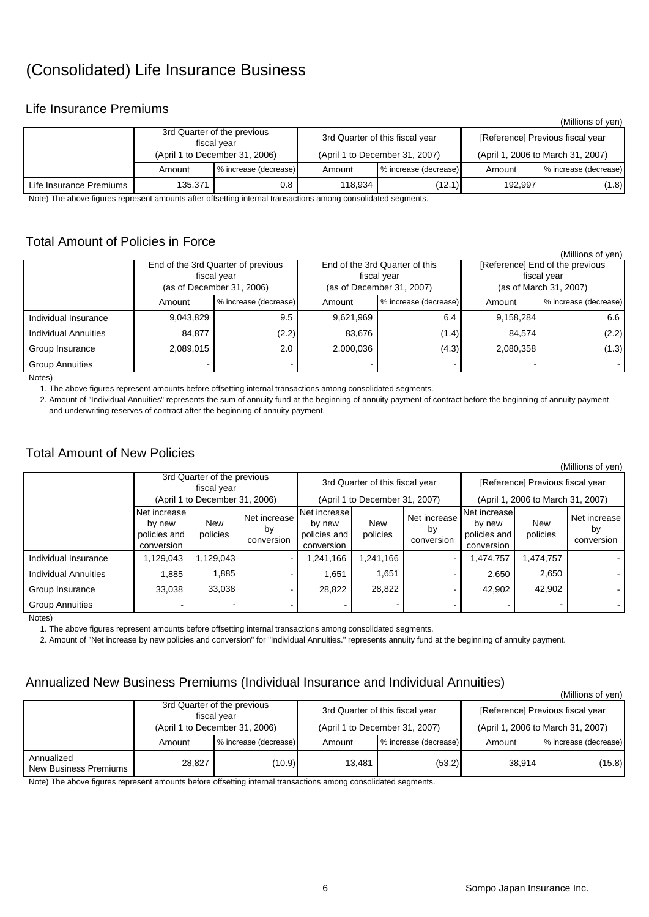# (Consolidated) Life Insurance Business

#### Life Insurance Premiums

|                         |         |                                            |         |                                 |                                   | (Millions of yen)     |  |
|-------------------------|---------|--------------------------------------------|---------|---------------------------------|-----------------------------------|-----------------------|--|
|                         |         | 3rd Quarter of the previous<br>fiscal vear |         | 3rd Quarter of this fiscal year | [Reference] Previous fiscal year  |                       |  |
|                         |         | (April 1 to December 31, 2006)             |         | (April 1 to December 31, 2007)  | (April 1, 2006 to March 31, 2007) |                       |  |
|                         | Amount  | % increase (decrease)                      | Amount  | % increase (decrease)           | Amount                            | % increase (decrease) |  |
| Life Insurance Premiums | 135,371 | 0.8                                        | 118.934 | (12.1)                          | 192.997                           | (1.8)                 |  |

Note) The above figures represent amounts after offsetting internal transactions among consolidated segments.

#### Total Amount of Policies in Force

|                             |           |                                    |           |                                |                                 | (IVIIIIIONS OF VEN)    |  |  |
|-----------------------------|-----------|------------------------------------|-----------|--------------------------------|---------------------------------|------------------------|--|--|
|                             |           | End of the 3rd Quarter of previous |           | End of the 3rd Quarter of this | [Reference] End of the previous |                        |  |  |
|                             |           | fiscal year                        |           | fiscal vear                    | fiscal year                     |                        |  |  |
|                             |           | (as of December 31, 2006)          |           | (as of December 31, 2007)      |                                 | (as of March 31, 2007) |  |  |
|                             | Amount    | % increase (decrease)              | Amount    | % increase (decrease)          | Amount                          | % increase (decrease)  |  |  |
| Individual Insurance        | 9,043,829 | 9.5                                | 9.621.969 | 6.4                            | 9.158.284                       | 6.6                    |  |  |
| <b>Individual Annuities</b> | 84.877    | (2.2)                              | 83.676    | (1.4)                          | 84.574                          | (2.2)                  |  |  |
| Group Insurance             | 2,089,015 | 2.0                                | 2.000.036 | (4.3)                          | 2,080,358                       | (1.3)                  |  |  |
| <b>Group Annuities</b>      |           |                                    |           |                                |                                 | $\sim$                 |  |  |

Notes)

1. The above figures represent amounts before offsetting internal transactions among consolidated segments.

 2. Amount of "Individual Annuities" represents the sum of annuity fund at the beginning of annuity payment of contract before the beginning of annuity payment and underwriting reserves of contract after the beginning of annuity payment.

### Total Amount of New Policies

| (Millions of yen)           |                                                                              |                 |                                  |                                                                   |                 |                                  |                                                      |                                                                       |                                  |  |
|-----------------------------|------------------------------------------------------------------------------|-----------------|----------------------------------|-------------------------------------------------------------------|-----------------|----------------------------------|------------------------------------------------------|-----------------------------------------------------------------------|----------------------------------|--|
|                             | 3rd Quarter of the previous<br>fiscal year<br>(April 1 to December 31, 2006) |                 |                                  | 3rd Quarter of this fiscal year<br>(April 1 to December 31, 2007) |                 |                                  |                                                      | [Reference] Previous fiscal year<br>(April 1, 2006 to March 31, 2007) |                                  |  |
|                             | Net increase<br>by new<br>policies and<br>conversion                         | New<br>policies | Net increase<br>by<br>conversion | Net increase<br>by new<br>policies and<br>conversion              | New<br>policies | Net increase<br>by<br>conversion | Net increase<br>by new<br>policies and<br>conversion | <b>New</b><br>policies                                                | Net increase<br>b٧<br>conversion |  |
| Individual Insurance        | 1,129,043                                                                    | 1,129,043       | $\sim$                           | 1,241,166                                                         | 1,241,166       | $\sim$                           | ,474,757                                             | 474,757.                                                              |                                  |  |
| <b>Individual Annuities</b> | 1,885                                                                        | 1,885           |                                  | 1,651                                                             | 1,651           |                                  | 2,650                                                | 2,650                                                                 |                                  |  |
| Group Insurance             | 33,038                                                                       | 33,038          | -                                | 28,822                                                            | 28,822          |                                  | 42,902                                               | 42,902                                                                |                                  |  |
| <b>Group Annuities</b>      |                                                                              |                 |                                  |                                                                   |                 |                                  |                                                      |                                                                       |                                  |  |

Notes)

1. The above figures represent amounts before offsetting internal transactions among consolidated segments.

2. Amount of "Net increase by new policies and conversion" for "Individual Annuities." represents annuity fund at the beginning of annuity payment.

#### Annualized New Business Premiums (Individual Insurance and Individual Annuities)

|                                     |                                 |                                            |        |                                 |                                   | (Millions of yen)     |  |
|-------------------------------------|---------------------------------|--------------------------------------------|--------|---------------------------------|-----------------------------------|-----------------------|--|
|                                     |                                 | 3rd Quarter of the previous<br>fiscal vear |        | 3rd Quarter of this fiscal year | [Reference] Previous fiscal year  |                       |  |
|                                     |                                 | (April 1 to December 31, 2006)             |        | (April 1 to December 31, 2007)  | (April 1, 2006 to March 31, 2007) |                       |  |
|                                     | % increase (decrease)<br>Amount |                                            | Amount | % increase (decrease)           | Amount                            | % increase (decrease) |  |
| Annualized<br>New Business Premiums | 28,827                          | (10.9)                                     | 13.481 | (53.2)                          | 38,914                            | (15.8)                |  |

Note) The above figures represent amounts before offsetting internal transactions among consolidated segments.

 $(Millions of yon)$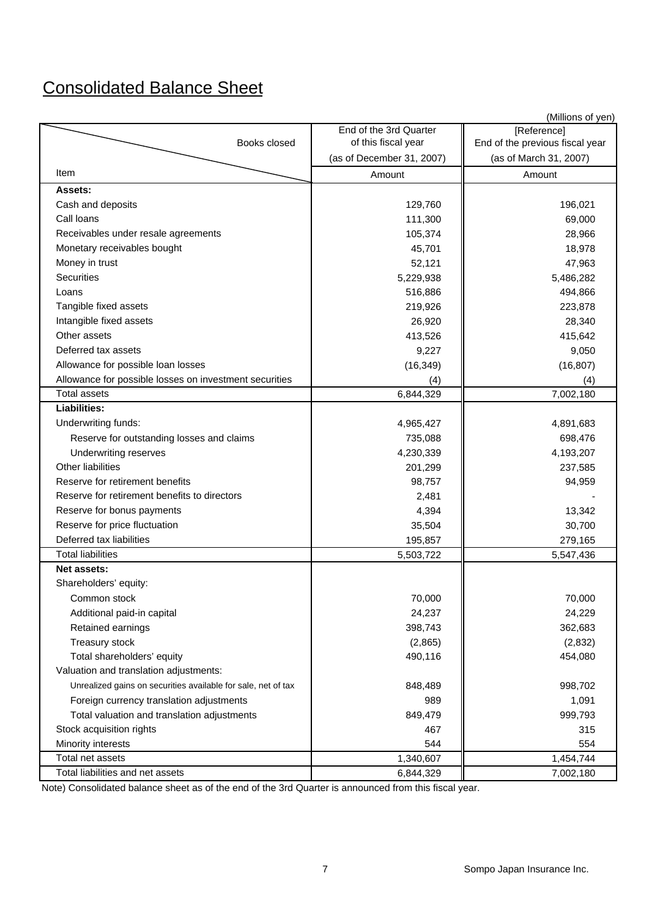# Consolidated Balance Sheet

|                                                               |                                                  | (Millions of yen)                                         |
|---------------------------------------------------------------|--------------------------------------------------|-----------------------------------------------------------|
|                                                               | End of the 3rd Quarter                           | [Reference]                                               |
| Books closed                                                  | of this fiscal year<br>(as of December 31, 2007) | End of the previous fiscal year<br>(as of March 31, 2007) |
| Item                                                          |                                                  |                                                           |
|                                                               | Amount                                           | Amount                                                    |
| Assets:                                                       |                                                  |                                                           |
| Cash and deposits                                             | 129,760                                          | 196,021                                                   |
| Call loans                                                    | 111,300                                          | 69,000                                                    |
| Receivables under resale agreements                           | 105,374                                          | 28,966                                                    |
| Monetary receivables bought                                   | 45,701                                           | 18,978                                                    |
| Money in trust                                                | 52,121                                           | 47,963                                                    |
| Securities                                                    | 5,229,938                                        | 5,486,282                                                 |
| Loans                                                         | 516,886                                          | 494,866                                                   |
| Tangible fixed assets                                         | 219,926                                          | 223,878                                                   |
| Intangible fixed assets                                       | 26,920                                           | 28,340                                                    |
| Other assets                                                  | 413,526                                          | 415,642                                                   |
| Deferred tax assets                                           | 9,227                                            | 9,050                                                     |
| Allowance for possible loan losses                            | (16, 349)                                        | (16, 807)                                                 |
| Allowance for possible losses on investment securities        | (4)                                              | (4)                                                       |
| <b>Total assets</b>                                           | 6,844,329                                        | 7,002,180                                                 |
| Liabilities:                                                  |                                                  |                                                           |
| Underwriting funds:                                           | 4,965,427                                        | 4,891,683                                                 |
| Reserve for outstanding losses and claims                     | 735,088                                          | 698,476                                                   |
| <b>Underwriting reserves</b>                                  | 4,230,339                                        | 4,193,207                                                 |
| Other liabilities                                             | 201,299                                          | 237,585                                                   |
| Reserve for retirement benefits                               | 98,757                                           | 94,959                                                    |
| Reserve for retirement benefits to directors                  | 2,481                                            |                                                           |
| Reserve for bonus payments                                    | 4,394                                            | 13,342                                                    |
| Reserve for price fluctuation                                 | 35,504                                           | 30,700                                                    |
| Deferred tax liabilities                                      | 195,857                                          | 279,165                                                   |
| <b>Total liabilities</b>                                      | 5,503,722                                        | 5,547,436                                                 |
| <b>Net assets:</b>                                            |                                                  |                                                           |
| Shareholders' equity:                                         |                                                  |                                                           |
| Common stock                                                  | 70,000                                           | 70,000                                                    |
| Additional paid-in capital                                    | 24,237                                           | 24,229                                                    |
| Retained earnings                                             | 398,743                                          | 362,683                                                   |
| Treasury stock                                                | (2,865)                                          | (2,832)                                                   |
| Total shareholders' equity                                    | 490,116                                          | 454,080                                                   |
| Valuation and translation adjustments:                        |                                                  |                                                           |
| Unrealized gains on securities available for sale, net of tax | 848,489                                          | 998,702                                                   |
| Foreign currency translation adjustments                      | 989                                              | 1,091                                                     |
| Total valuation and translation adjustments                   | 849,479                                          | 999,793                                                   |
| Stock acquisition rights                                      | 467                                              | 315                                                       |
| Minority interests                                            | 544                                              | 554                                                       |
| Total net assets                                              | 1,340,607                                        | 1,454,744                                                 |
| Total liabilities and net assets                              | 6,844,329                                        | 7,002,180                                                 |

Note) Consolidated balance sheet as of the end of the 3rd Quarter is announced from this fiscal year.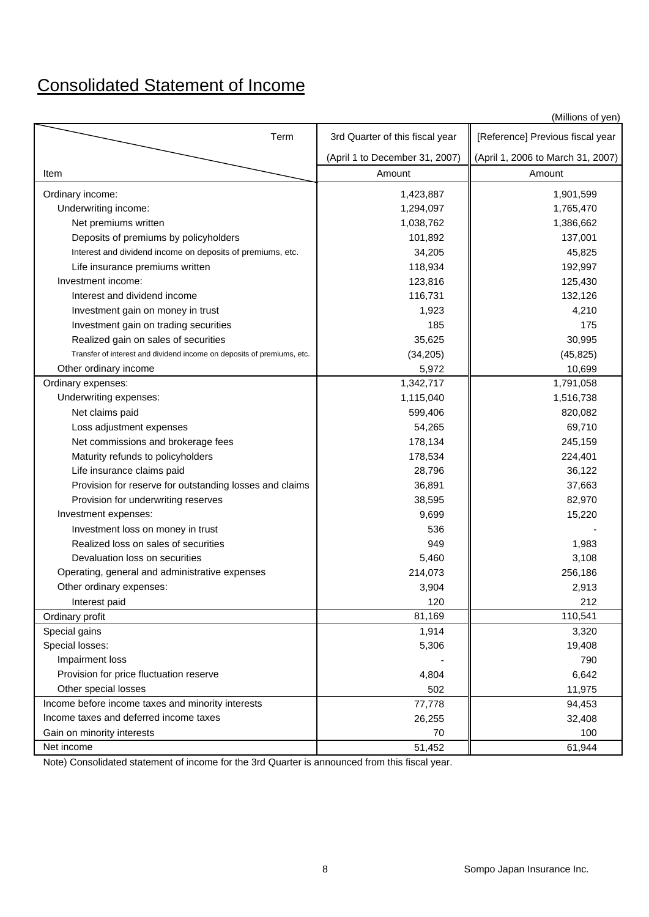# Consolidated Statement of Income

|                                                                        |                                 | (Millions of yen)                 |
|------------------------------------------------------------------------|---------------------------------|-----------------------------------|
| Term                                                                   | 3rd Quarter of this fiscal year | [Reference] Previous fiscal year  |
|                                                                        | (April 1 to December 31, 2007)  | (April 1, 2006 to March 31, 2007) |
| Item                                                                   | Amount                          | Amount                            |
| Ordinary income:                                                       | 1,423,887                       | 1,901,599                         |
| Underwriting income:                                                   | 1,294,097                       | 1,765,470                         |
| Net premiums written                                                   | 1,038,762                       | 1,386,662                         |
| Deposits of premiums by policyholders                                  | 101,892                         | 137,001                           |
| Interest and dividend income on deposits of premiums, etc.             | 34,205                          | 45,825                            |
| Life insurance premiums written                                        | 118,934                         | 192,997                           |
| Investment income:                                                     | 123,816                         | 125,430                           |
| Interest and dividend income                                           | 116,731                         | 132,126                           |
| Investment gain on money in trust                                      | 1,923                           | 4,210                             |
| Investment gain on trading securities                                  | 185                             | 175                               |
| Realized gain on sales of securities                                   | 35,625                          | 30,995                            |
| Transfer of interest and dividend income on deposits of premiums, etc. | (34, 205)                       | (45, 825)                         |
| Other ordinary income                                                  | 5,972                           | 10,699                            |
| Ordinary expenses:                                                     | 1,342,717                       | 1,791,058                         |
| Underwriting expenses:                                                 | 1,115,040                       | 1,516,738                         |
| Net claims paid                                                        | 599,406                         | 820,082                           |
| Loss adjustment expenses                                               | 54,265                          | 69,710                            |
| Net commissions and brokerage fees                                     | 178,134                         | 245,159                           |
| Maturity refunds to policyholders                                      | 178,534                         | 224,401                           |
| Life insurance claims paid                                             | 28,796                          | 36,122                            |
| Provision for reserve for outstanding losses and claims                | 36,891                          | 37,663                            |
| Provision for underwriting reserves                                    | 38,595                          | 82,970                            |
| Investment expenses:                                                   | 9,699                           | 15,220                            |
| Investment loss on money in trust                                      | 536                             |                                   |
| Realized loss on sales of securities                                   | 949                             | 1,983                             |
| Devaluation loss on securities                                         | 5,460                           | 3,108                             |
| Operating, general and administrative expenses                         | 214,073                         | 256,186                           |
| Other ordinary expenses:                                               | 3,904                           | 2,913                             |
| Interest paid                                                          | 120                             | 212                               |
| Ordinary profit                                                        | 81,169                          | 110,541                           |
| Special gains                                                          | 1,914                           | 3,320                             |
| Special losses:                                                        | 5,306                           | 19,408                            |
| Impairment loss                                                        |                                 | 790                               |
| Provision for price fluctuation reserve                                | 4,804                           | 6,642                             |
| Other special losses                                                   | 502                             | 11,975                            |
| Income before income taxes and minority interests                      | 77,778                          | 94,453                            |
| Income taxes and deferred income taxes                                 | 26,255                          | 32,408                            |
| Gain on minority interests                                             | 70                              | 100                               |
| Net income                                                             | 51,452                          | 61,944                            |

Note) Consolidated statement of income for the 3rd Quarter is announced from this fiscal year.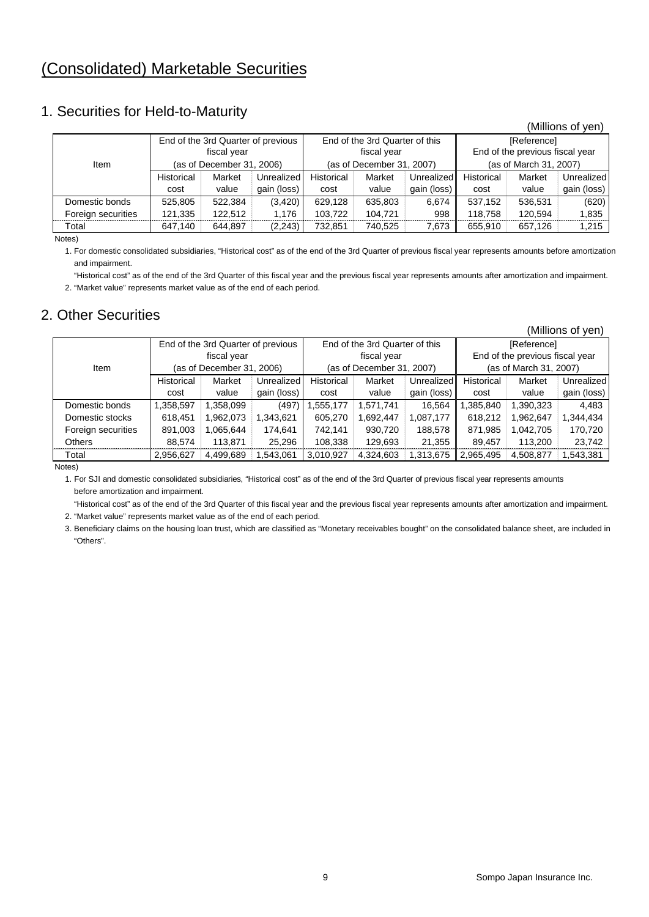## (Consolidated) Marketable Securities

### 1. Securities for Held-to-Maturity

|                    |                           |                                    |             |            |                                |             |                                 |             | (Millions of yen) |  |
|--------------------|---------------------------|------------------------------------|-------------|------------|--------------------------------|-------------|---------------------------------|-------------|-------------------|--|
|                    |                           | End of the 3rd Quarter of previous |             |            | End of the 3rd Quarter of this |             |                                 | [Reference] |                   |  |
|                    |                           | fiscal year                        |             |            | fiscal year                    |             | End of the previous fiscal year |             |                   |  |
| Item               | (as of December 31, 2006) |                                    |             |            | (as of December 31, 2007)      |             | (as of March 31, 2007)          |             |                   |  |
|                    | Historical                | Market                             | Unrealized  | Historical | Market                         | Unrealized  | Historical                      | Market      | Unrealized        |  |
|                    | cost                      | value                              | gain (loss) | cost       | value                          | gain (loss) | cost                            | value       | gain (loss)       |  |
| Domestic bonds     | 525,805                   | 522,384                            | (3,420)     | 629,128    | 635,803                        | 6.674       | 537.152                         | 536.531     | (620)             |  |
| Foreign securities | 121,335                   | 122.512                            | 1,176       | 103,722    | 104.721                        | 998         | 118.758                         | 120.594     | 1,835             |  |
| Total              | 647.140                   | 644.897                            | (2, 243)    | 732,851    | 740.525                        | 7.673       | 655.910                         | 657.126     | 1.215             |  |

Notes)

1. For domestic consolidated subsidiaries, "Historical cost" as of the end of the 3rd Quarter of previous fiscal year represents amounts before amortization and impairment.

"Historical cost" as of the end of the 3rd Quarter of this fiscal year and the previous fiscal year represents amounts after amortization and impairment.

2. "Market value" represents market value as of the end of each period.

### 2. Other Securities

|                    |                           |                                    |             |            |                                |             |                        |                                 | (Millions of yen) |  |
|--------------------|---------------------------|------------------------------------|-------------|------------|--------------------------------|-------------|------------------------|---------------------------------|-------------------|--|
|                    |                           | End of the 3rd Quarter of previous |             |            | End of the 3rd Quarter of this |             |                        | [Reference]                     |                   |  |
|                    |                           | fiscal year                        |             |            | fiscal year                    |             |                        | End of the previous fiscal year |                   |  |
| Item               | (as of December 31, 2006) |                                    |             |            | (as of December 31, 2007)      |             | (as of March 31, 2007) |                                 |                   |  |
|                    | Historical                | Market                             | Unrealized  | Historical | Market                         | Unrealized  | Historical             | Market                          | Unrealized        |  |
|                    | cost                      | value                              | gain (loss) | cost       | value                          | gain (loss) | cost                   | value                           | gain (loss)       |  |
| Domestic bonds     | 1,358,597                 | 1,358,099                          | (497)       | 555,177    | 1,571,741                      | 16,564      | ,385,840               | 1,390,323                       | 4.483             |  |
| Domestic stocks    | 618,451                   | 1,962,073                          | 1,343,621   | 605,270    | 1,692,447                      | 1,087,177   | 618,212                | 1.962,647                       | 1,344,434         |  |
| Foreign securities | 891,003                   | 1,065,644                          | 174,641     | 742,141    | 930,720                        | 188,578     | 871,985                | 1,042,705                       | 170,720           |  |
| <b>Others</b>      | 88.574                    | 113.871                            | 25.296      | 108,338    | 129.693                        | 21.355      | 89.457                 | 113,200                         | 23,742            |  |
| Total              | 2,956,627                 | 4,499,689                          | .543.061    | 3,010,927  | 4,324,603                      | 1,313,675   | 2,965,495              | 4,508,877                       | 1,543,381         |  |

Notes)

1. For SJI and domestic consolidated subsidiaries, "Historical cost" as of the end of the 3rd Quarter of previous fiscal year represents amounts before amortization and impairment.

 "Historical cost" as of the end of the 3rd Quarter of this fiscal year and the previous fiscal year represents amounts after amortization and impairment. 2. "Market value" represents market value as of the end of each period.

3. Beneficiary claims on the housing loan trust, which are classified as "Monetary receivables bought" on the consolidated balance sheet, are included in "Others".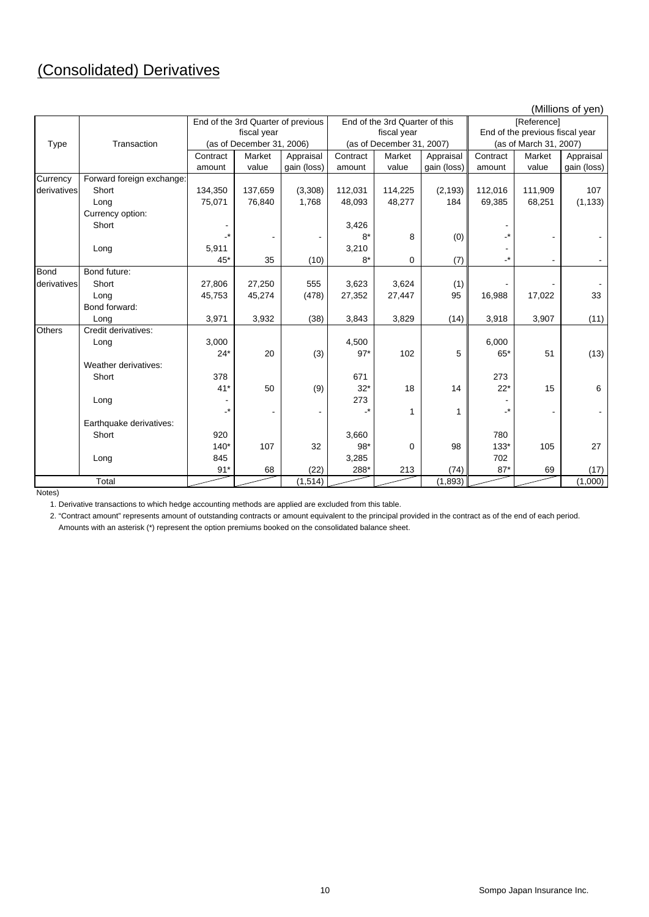# (Consolidated) Derivatives

|             |                           |                 |                                    |             |           |                                |             | (Millions of yen)               |                        |             |  |
|-------------|---------------------------|-----------------|------------------------------------|-------------|-----------|--------------------------------|-------------|---------------------------------|------------------------|-------------|--|
|             |                           |                 | End of the 3rd Quarter of previous |             |           | End of the 3rd Quarter of this |             | [Reference]                     |                        |             |  |
|             |                           | fiscal year     |                                    |             |           | fiscal year                    |             | End of the previous fiscal year |                        |             |  |
| Type        | Transaction               |                 | (as of December 31, 2006)          |             |           | (as of December 31, 2007)      |             |                                 | (as of March 31, 2007) |             |  |
|             |                           | Contract        | Market                             | Appraisal   | Contract  | Market                         | Appraisal   | Contract                        | Market                 | Appraisal   |  |
|             |                           | amount          | value                              | gain (loss) | amount    | value                          | gain (loss) | amount                          | value                  | gain (loss) |  |
| Currency    | Forward foreign exchange: |                 |                                    |             |           |                                |             |                                 |                        |             |  |
| derivatives | Short                     | 134,350         | 137,659                            | (3,308)     | 112,031   | 114,225                        | (2, 193)    | 112,016                         | 111,909                | 107         |  |
|             | Long                      | 75,071          | 76,840                             | 1,768       | 48,093    | 48,277                         | 184         | 69,385                          | 68,251                 | (1, 133)    |  |
|             | Currency option:          |                 |                                    |             |           |                                |             |                                 |                        |             |  |
|             | Short                     |                 |                                    |             | 3,426     |                                |             |                                 |                        |             |  |
|             |                           | $\cdot^{\star}$ |                                    |             | $8*$      | 8                              | (0)         |                                 |                        |             |  |
|             | Long                      | 5,911           |                                    |             | 3,210     |                                |             |                                 |                        |             |  |
|             |                           | $45*$           | 35                                 | (10)        | $8*$      | $\mathbf 0$                    | (7)         | $\cdot^{\star}$                 |                        |             |  |
| <b>Bond</b> | Bond future:              |                 |                                    |             |           |                                |             |                                 |                        |             |  |
| derivatives | Short                     | 27,806          | 27,250                             | 555         | 3,623     | 3,624                          | (1)         |                                 |                        |             |  |
|             | Long                      | 45,753          | 45,274                             | (478)       | 27,352    | 27,447                         | 95          | 16,988                          | 17,022                 | 33          |  |
|             | Bond forward:             |                 |                                    |             |           |                                |             |                                 |                        |             |  |
|             | Long                      | 3,971           | 3,932                              | (38)        | 3,843     | 3,829                          | (14)        | 3,918                           | 3,907                  | (11)        |  |
| Others      | Credit derivatives:       |                 |                                    |             |           |                                |             |                                 |                        |             |  |
|             | Long                      | 3,000           |                                    |             | 4,500     |                                |             | 6,000                           |                        |             |  |
|             |                           | $24*$           | 20                                 | (3)         | $97*$     | 102                            | 5           | $65*$                           | 51                     | (13)        |  |
|             | Weather derivatives:      |                 |                                    |             |           |                                |             |                                 |                        |             |  |
|             | Short                     | 378             |                                    |             | 671       |                                |             | 273                             |                        |             |  |
|             |                           | $41*$           | 50                                 | (9)         | $32*$     | 18                             | 14          | $22*$                           | 15                     | 6           |  |
|             | Long                      |                 |                                    |             | 273       |                                |             |                                 |                        |             |  |
|             |                           | -*              |                                    |             | $\cdot^*$ | 1                              | 1           |                                 |                        |             |  |
|             | Earthquake derivatives:   |                 |                                    |             |           |                                |             |                                 |                        |             |  |
|             | Short                     | 920             |                                    |             | 3,660     |                                |             | 780                             |                        |             |  |
|             |                           | $140*$          | 107                                | 32          | $98*$     | $\Omega$                       | 98          | $133*$                          | 105                    | 27          |  |
|             | Long                      | 845             |                                    |             | 3,285     |                                |             | 702                             |                        |             |  |
|             |                           | $91*$           | 68                                 | (22)        | 288*      | 213                            | (74)        | $87*$                           | 69                     | (17)        |  |
|             | Total                     |                 |                                    | (1, 514)    |           |                                | (1,893)     |                                 |                        | (1,000)     |  |

Notes)

1. Derivative transactions to which hedge accounting methods are applied are excluded from this table.

2. "Contract amount" represents amount of outstanding contracts or amount equivalent to the principal provided in the contract as of the end of each period. Amounts with an asterisk (\*) represent the option premiums booked on the consolidated balance sheet.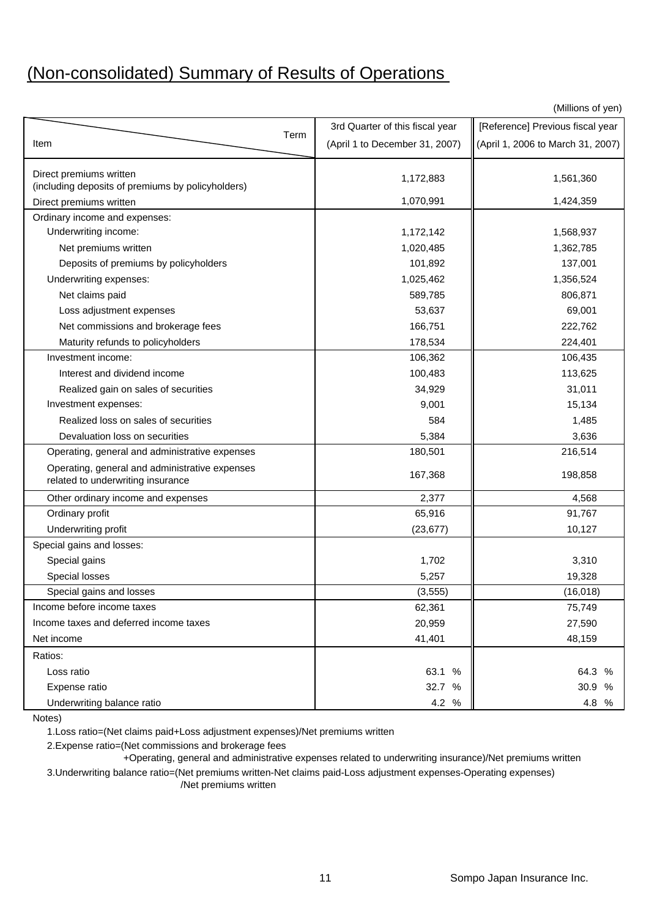# (Non-consolidated) Summary of Results of Operations

(Millions of yen)

|                                                                                     |      | 3rd Quarter of this fiscal year | [Reference] Previous fiscal year  |
|-------------------------------------------------------------------------------------|------|---------------------------------|-----------------------------------|
| Item                                                                                | Term | (April 1 to December 31, 2007)  | (April 1, 2006 to March 31, 2007) |
|                                                                                     |      |                                 |                                   |
| Direct premiums written                                                             |      | 1,172,883                       | 1,561,360                         |
| (including deposits of premiums by policyholders)                                   |      |                                 |                                   |
| Direct premiums written                                                             |      | 1,070,991                       | 1,424,359                         |
| Ordinary income and expenses:                                                       |      |                                 |                                   |
| Underwriting income:                                                                |      | 1,172,142                       | 1,568,937                         |
| Net premiums written                                                                |      | 1,020,485                       | 1,362,785                         |
| Deposits of premiums by policyholders                                               |      | 101,892                         | 137,001                           |
| Underwriting expenses:                                                              |      | 1,025,462                       | 1,356,524                         |
| Net claims paid                                                                     |      | 589,785                         | 806,871                           |
| Loss adjustment expenses                                                            |      | 53,637                          | 69,001                            |
| Net commissions and brokerage fees                                                  |      | 166,751                         | 222,762                           |
| Maturity refunds to policyholders                                                   |      | 178,534                         | 224,401                           |
| Investment income:                                                                  |      | 106,362                         | 106,435                           |
| Interest and dividend income                                                        |      | 100,483                         | 113,625                           |
| Realized gain on sales of securities                                                |      | 34,929                          | 31,011                            |
| Investment expenses:                                                                |      | 9,001                           | 15,134                            |
| Realized loss on sales of securities                                                |      | 584                             | 1,485                             |
| Devaluation loss on securities                                                      |      | 5,384                           | 3,636                             |
| Operating, general and administrative expenses                                      |      | 180,501                         | 216,514                           |
| Operating, general and administrative expenses<br>related to underwriting insurance |      | 167,368                         | 198,858                           |
| Other ordinary income and expenses                                                  |      | 2,377                           | 4,568                             |
| Ordinary profit                                                                     |      | 65,916                          | 91,767                            |
| Underwriting profit                                                                 |      | (23, 677)                       | 10,127                            |
| Special gains and losses:                                                           |      |                                 |                                   |
| Special gains                                                                       |      | 1,702                           | 3,310                             |
| Special losses                                                                      |      | 5,257                           | 19,328                            |
| Special gains and losses                                                            |      | (3, 555)                        | (16, 018)                         |
| Income before income taxes                                                          |      | 62,361                          | 75,749                            |
| Income taxes and deferred income taxes                                              |      | 20,959                          | 27,590                            |
| Net income                                                                          |      | 41,401                          | 48,159                            |
| Ratios:                                                                             |      |                                 |                                   |
| Loss ratio                                                                          |      | 63.1 %                          | 64.3 %                            |
| Expense ratio                                                                       |      | 32.7 %                          | 30.9 %                            |
| Underwriting balance ratio                                                          |      | 4.2 %                           | 4.8 %                             |

Notes)

1.Loss ratio=(Net claims paid+Loss adjustment expenses)/Net premiums written

2.Expense ratio=(Net commissions and brokerage fees

+Operating, general and administrative expenses related to underwriting insurance)/Net premiums written

3.Underwriting balance ratio=(Net premiums written-Net claims paid-Loss adjustment expenses-Operating expenses) /Net premiums written